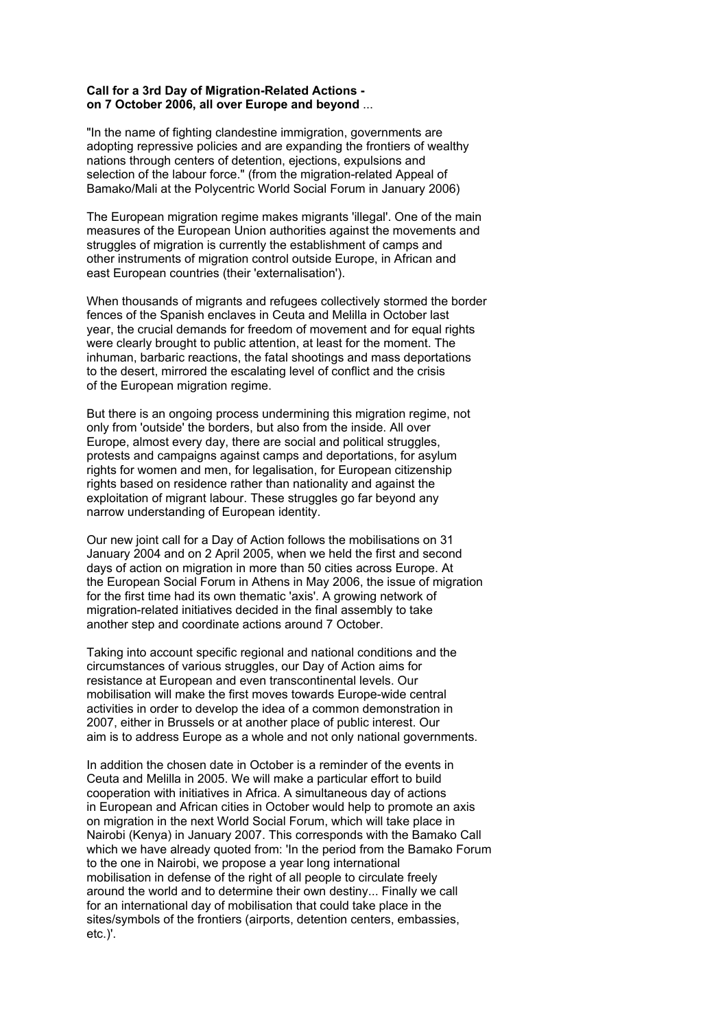## **Call for a 3rd Day of Migration-Related Actions on 7 October 2006, all over Europe and beyond** ...

"In the name of fighting clandestine immigration, governments are adopting repressive policies and are expanding the frontiers of wealthy nations through centers of detention, ejections, expulsions and selection of the labour force." (from the migration-related Appeal of Bamako/Mali at the Polycentric World Social Forum in January 2006)

The European migration regime makes migrants 'illegal'. One of the main measures of the European Union authorities against the movements and struggles of migration is currently the establishment of camps and other instruments of migration control outside Europe, in African and east European countries (their 'externalisation').

When thousands of migrants and refugees collectively stormed the border fences of the Spanish enclaves in Ceuta and Melilla in October last year, the crucial demands for freedom of movement and for equal rights were clearly brought to public attention, at least for the moment. The inhuman, barbaric reactions, the fatal shootings and mass deportations to the desert, mirrored the escalating level of conflict and the crisis of the European migration regime.

But there is an ongoing process undermining this migration regime, not only from 'outside' the borders, but also from the inside. All over Europe, almost every day, there are social and political struggles, protests and campaigns against camps and deportations, for asylum rights for women and men, for legalisation, for European citizenship rights based on residence rather than nationality and against the exploitation of migrant labour. These struggles go far beyond any narrow understanding of European identity.

Our new joint call for a Day of Action follows the mobilisations on 31 January 2004 and on 2 April 2005, when we held the first and second days of action on migration in more than 50 cities across Europe. At the European Social Forum in Athens in May 2006, the issue of migration for the first time had its own thematic 'axis'. A growing network of migration-related initiatives decided in the final assembly to take another step and coordinate actions around 7 October.

Taking into account specific regional and national conditions and the circumstances of various struggles, our Day of Action aims for resistance at European and even transcontinental levels. Our mobilisation will make the first moves towards Europe-wide central activities in order to develop the idea of a common demonstration in 2007, either in Brussels or at another place of public interest. Our aim is to address Europe as a whole and not only national governments.

In addition the chosen date in October is a reminder of the events in Ceuta and Melilla in 2005. We will make a particular effort to build cooperation with initiatives in Africa. A simultaneous day of actions in European and African cities in October would help to promote an axis on migration in the next World Social Forum, which will take place in Nairobi (Kenya) in January 2007. This corresponds with the Bamako Call which we have already quoted from: 'In the period from the Bamako Forum to the one in Nairobi, we propose a year long international mobilisation in defense of the right of all people to circulate freely around the world and to determine their own destiny... Finally we call for an international day of mobilisation that could take place in the sites/symbols of the frontiers (airports, detention centers, embassies, etc.)'.